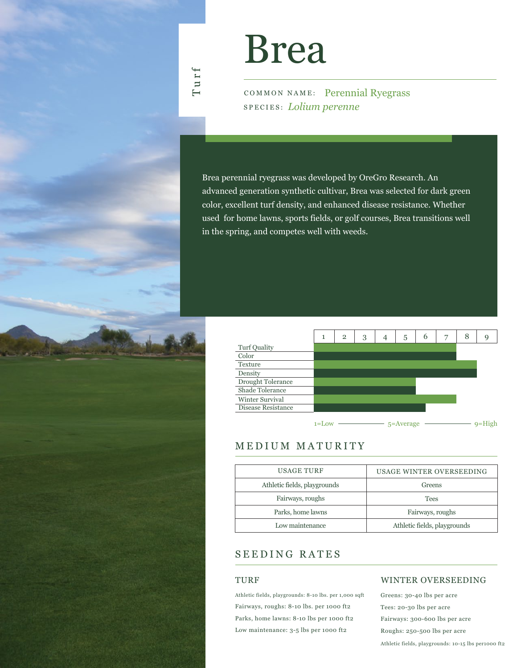

Turf

COMMON NAME: Perennial Ryegrass SPECIES: *Lolium perenne*

Brea perennial ryegrass was developed by OreGro Research. An advanced generation synthetic cultivar, Brea was selected for dark green color, excellent turf density, and enhanced disease resistance. Whether used for home lawns, sports fields, or golf courses, Brea transitions well in the spring, and competes well with weeds.



# MEDIUM MATURITY

| USAGE WINTER OVERSEEDING     |
|------------------------------|
| Greens                       |
| <b>Tees</b>                  |
| Fairways, roughs             |
| Athletic fields, playgrounds |
|                              |

# SEEDING RATES

### TURF

Athletic fields, playgrounds: 8-10 lbs. per 1,000 sqft Fairways, roughs: 8-10 lbs. per 1000 ft2 Parks, home lawns: 8-10 lbs per 1000 ft2 Low maintenance: 3-5 lbs per 1000 ft2

### WINTER OVERSEEDING

Greens: 30-40 lbs per acre Tees: 20-30 lbs per acre Fairways: 300-600 lbs per acre Roughs: 250-500 lbs per acre Athletic fields, playgrounds: 10-15 lbs per1000 ft2